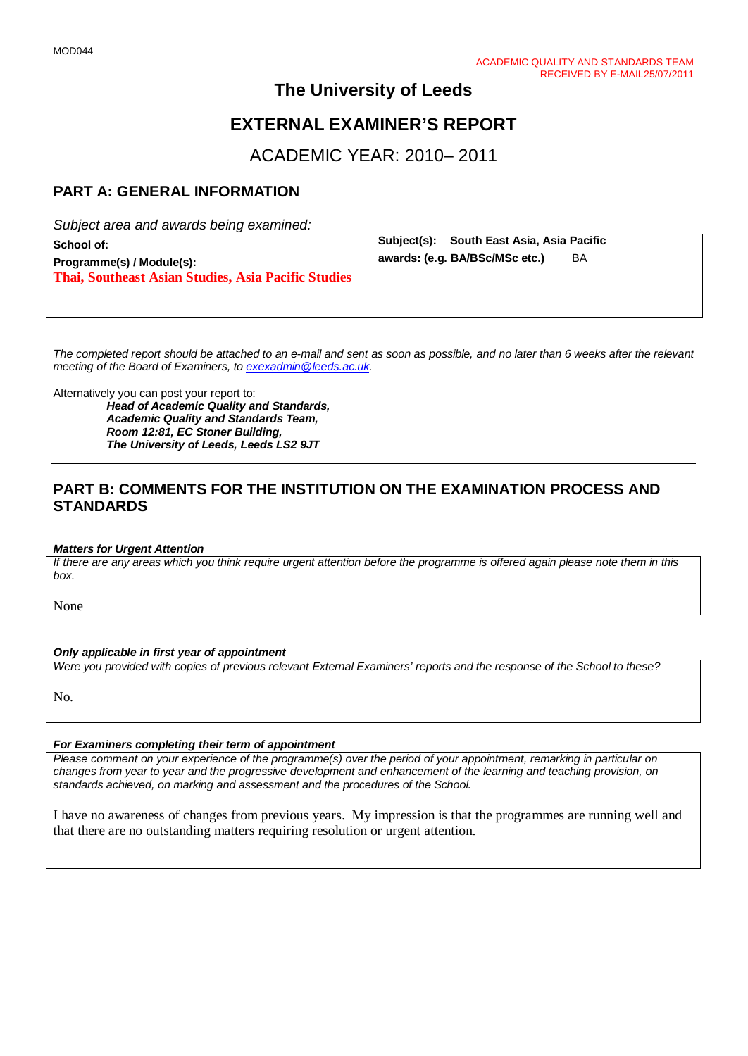# **The University of Leeds**

# **EXTERNAL EXAMINER'S REPORT**

ACADEMIC YEAR: 2010– 2011

## **PART A: GENERAL INFORMATION**

*Subject area and awards being examined:*

| School of:                                          |
|-----------------------------------------------------|
| Programme(s) / Module(s):                           |
| Thai, Southeast Asian Studies, Asia Pacific Studies |

**Subject(s): South East Asia, Asia Pacific**<br>awards: (e.g. BA/BSc/MSc.etc.) BA awards: (e.g. BA/BSc/MSc etc.)

*The completed report should be attached to an e-mail and sent as soon as possible, and no later than 6 weeks after the relevant meeting of the Board of Examiners, to [exexadmin@leeds.ac.uk.](mailto:exexadmin@leeds.ac.uk)*

Alternatively you can post your report to:

*Head of Academic Quality and Standards, Academic Quality and Standards Team, Room 12:81, EC Stoner Building, The University of Leeds, Leeds LS2 9JT*

## **PART B: COMMENTS FOR THE INSTITUTION ON THE EXAMINATION PROCESS AND STANDARDS**

#### *Matters for Urgent Attention*

*If there are any areas which you think require urgent attention before the programme is offered again please note them in this box.*

None

#### *Only applicable in first year of appointment*

*Were you provided with copies of previous relevant External Examiners' reports and the response of the School to these?* 

No.

## *For Examiners completing their term of appointment*

*Please comment on your experience of the programme(s) over the period of your appointment, remarking in particular on changes from year to year and the progressive development and enhancement of the learning and teaching provision, on standards achieved, on marking and assessment and the procedures of the School.* 

I have no awareness of changes from previous years. My impression is that the programmes are running well and that there are no outstanding matters requiring resolution or urgent attention.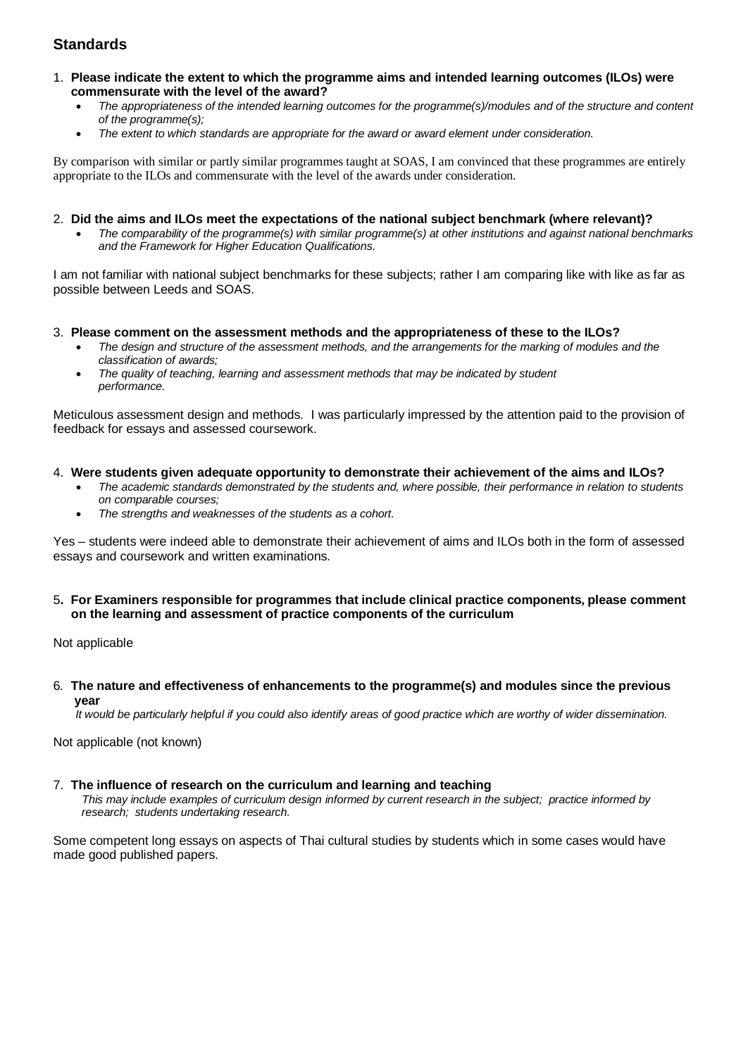## **Standards**

- 1. **Please indicate the extent to which the programme aims and intended learning outcomes (ILOs) were commensurate with the level of the award?**
	- *The appropriateness of the intended learning outcomes for the programme(s)/modules and of the structure and content of the programme(s);*
	- *The extent to which standards are appropriate for the award or award element under consideration.*

By comparison with similar or partly similar programmes taught at SOAS, I am convinced that these programmes are entirely appropriate to the ILOs and commensurate with the level of the awards under consideration.

#### 2. **Did the aims and ILOs meet the expectations of the national subject benchmark (where relevant)?**

• *The comparability of the programme(s) with similar programme(s) at other institutions and against national benchmarks and the Framework for Higher Education Qualifications.*

I am not familiar with national subject benchmarks for these subjects; rather I am comparing like with like as far as possible between Leeds and SOAS.

## 3. **Please comment on the assessment methods and the appropriateness of these to the ILOs?**

- *The design and structure of the assessment methods, and the arrangements for the marking of modules and the classification of awards;*
- *The quality of teaching, learning and assessment methods that may be indicated by student performance.*

Meticulous assessment design and methods. I was particularly impressed by the attention paid to the provision of feedback for essays and assessed coursework.

#### 4. **Were students given adequate opportunity to demonstrate their achievement of the aims and ILOs?**

- *The academic standards demonstrated by the students and, where possible, their performance in relation to students on comparable courses;*
- *The strengths and weaknesses of the students as a cohort.*

Yes – students were indeed able to demonstrate their achievement of aims and ILOs both in the form of assessed essays and coursework and written examinations.

#### 5**. For Examiners responsible for programmes that include clinical practice components, please comment on the learning and assessment of practice components of the curriculum**

Not applicable

6*.* **The nature and effectiveness of enhancements to the programme(s) and modules since the previous year**

 *It would be particularly helpful if you could also identify areas of good practice which are worthy of wider dissemination.* 

Not applicable (not known)

#### 7.**The influence of research on the curriculum and learning and teaching**

 *This may include examples of curriculum design informed by current research in the subject; practice informed by research; students undertaking research.* 

Some competent long essays on aspects of Thai cultural studies by students which in some cases would have made good published papers.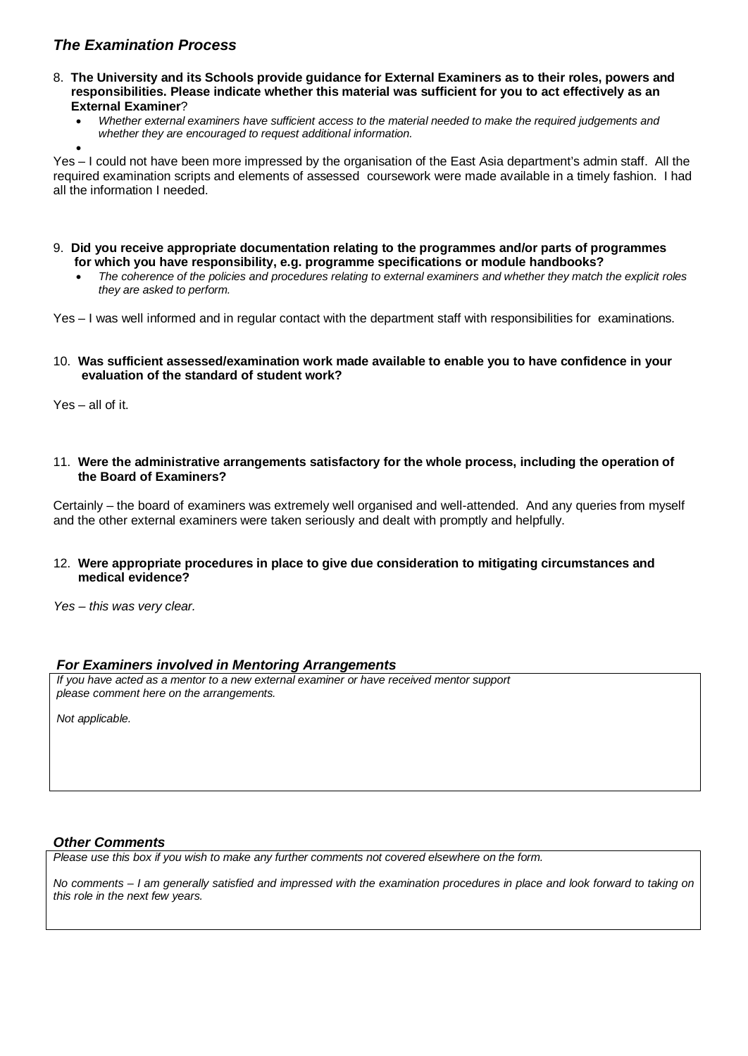## *The Examination Process*

- 8. **The University and its Schools provide guidance for External Examiners as to their roles, powers and responsibilities. Please indicate whether this material was sufficient for you to act effectively as an External Examiner**?
	- *Whether external examiners have sufficient access to the material needed to make the required judgements and* 
		- *whether they are encouraged to request additional information.*

• Yes – I could not have been more impressed by the organisation of the East Asia department's admin staff. All the required examination scripts and elements of assessed coursework were made available in a timely fashion. I had all the information I needed.

- 9. **Did you receive appropriate documentation relating to the programmes and/or parts of programmes for which you have responsibility, e.g. programme specifications or module handbooks?**
	- *The coherence of the policies and procedures relating to external examiners and whether they match the explicit roles they are asked to perform.*

Yes – I was well informed and in regular contact with the department staff with responsibilities for examinations.

### 10. **Was sufficient assessed/examination work made available to enable you to have confidence in your evaluation of the standard of student work?**

Yes – all of it.

11. **Were the administrative arrangements satisfactory for the whole process, including the operation of the Board of Examiners?**

Certainly – the board of examiners was extremely well organised and well-attended. And any queries from myself and the other external examiners were taken seriously and dealt with promptly and helpfully.

### 12. **Were appropriate procedures in place to give due consideration to mitigating circumstances and medical evidence?**

*Yes – this was very clear.* 

## *For Examiners involved in Mentoring Arrangements*

*If you have acted as a mentor to a new external examiner or have received mentor support please comment here on the arrangements.*

*Not applicable.* 

## *Other Comments*

*Please use this box if you wish to make any further comments not covered elsewhere on the form.*

*No comments – I am generally satisfied and impressed with the examination procedures in place and look forward to taking on this role in the next few years.*